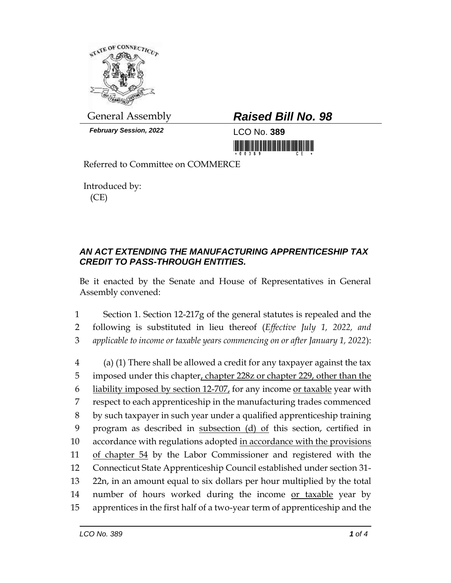

*February Session, 2022* LCO No. **389**

## General Assembly *Raised Bill No. 98*

<u> 1999 - Andrew Maria Maria Maria Maria Maria Maria Maria Maria Maria Maria Maria Maria Maria Maria Maria Mari</u>

Referred to Committee on COMMERCE

Introduced by: (CE)

## *AN ACT EXTENDING THE MANUFACTURING APPRENTICESHIP TAX CREDIT TO PASS-THROUGH ENTITIES.*

Be it enacted by the Senate and House of Representatives in General Assembly convened:

1 Section 1. Section 12-217g of the general statutes is repealed and the 2 following is substituted in lieu thereof (*Effective July 1, 2022, and*  3 *applicable to income or taxable years commencing on or after January 1, 2022*):

 (a) (1) There shall be allowed a credit for any taxpayer against the tax 5 imposed under this chapter, chapter 228z or chapter 229, other than the liability imposed by section 12-707, for any income or taxable year with respect to each apprenticeship in the manufacturing trades commenced by such taxpayer in such year under a qualified apprenticeship training program as described in subsection (d) of this section, certified in 10 accordance with regulations adopted in accordance with the provisions 11 of chapter 54 by the Labor Commissioner and registered with the Connecticut State Apprenticeship Council established under section 31- 22n, in an amount equal to six dollars per hour multiplied by the total 14 number of hours worked during the income or taxable year by apprentices in the first half of a two-year term of apprenticeship and the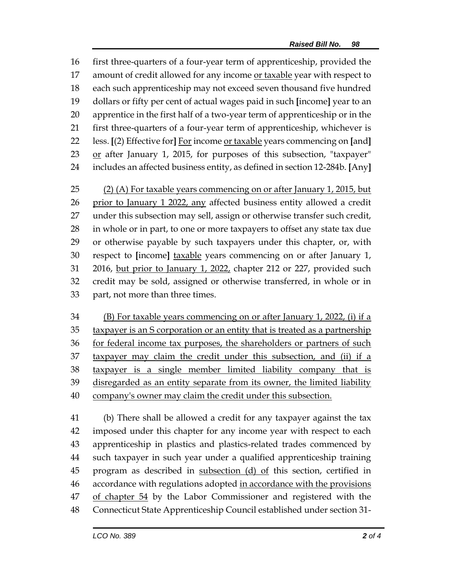first three-quarters of a four-year term of apprenticeship, provided the 17 amount of credit allowed for any income or taxable year with respect to each such apprenticeship may not exceed seven thousand five hundred dollars or fifty per cent of actual wages paid in such **[**income**]** year to an apprentice in the first half of a two-year term of apprenticeship or in the first three-quarters of a four-year term of apprenticeship, whichever is less. **[**(2) Effective for**]** For income or taxable years commencing on **[**and**]** 23 or after January 1, 2015, for purposes of this subsection, "taxpayer" includes an affected business entity, as defined in section 12-284b. **[**Any**]**

 (2) (A) For taxable years commencing on or after January 1, 2015, but prior to January 1 2022, any affected business entity allowed a credit under this subsection may sell, assign or otherwise transfer such credit, in whole or in part, to one or more taxpayers to offset any state tax due or otherwise payable by such taxpayers under this chapter, or, with respect to **[**income**]** taxable years commencing on or after January 1, 2016, but prior to January 1, 2022, chapter 212 or 227, provided such credit may be sold, assigned or otherwise transferred, in whole or in part, not more than three times.

 (B) For taxable years commencing on or after January 1, 2022, (i) if a 35 taxpayer is an S corporation or an entity that is treated as a partnership 36 for federal income tax purposes, the shareholders or partners of such taxpayer may claim the credit under this subsection, and (ii) if a taxpayer is a single member limited liability company that is disregarded as an entity separate from its owner, the limited liability company's owner may claim the credit under this subsection.

 (b) There shall be allowed a credit for any taxpayer against the tax imposed under this chapter for any income year with respect to each apprenticeship in plastics and plastics-related trades commenced by such taxpayer in such year under a qualified apprenticeship training 45 program as described in subsection (d) of this section, certified in 46 accordance with regulations adopted in accordance with the provisions 47 of chapter 54 by the Labor Commissioner and registered with the Connecticut State Apprenticeship Council established under section 31-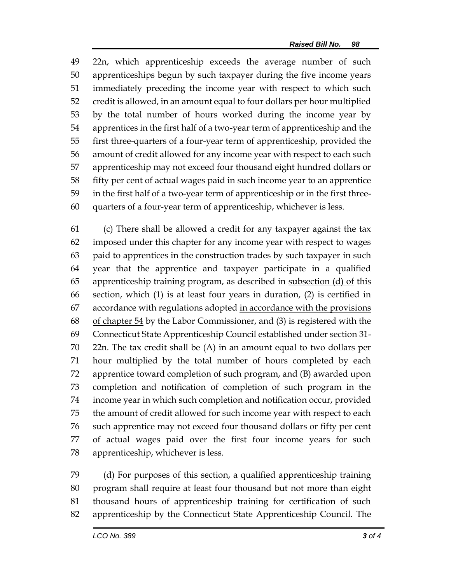22n, which apprenticeship exceeds the average number of such apprenticeships begun by such taxpayer during the five income years immediately preceding the income year with respect to which such credit is allowed, in an amount equal to four dollars per hour multiplied by the total number of hours worked during the income year by apprentices in the first half of a two-year term of apprenticeship and the first three-quarters of a four-year term of apprenticeship, provided the amount of credit allowed for any income year with respect to each such apprenticeship may not exceed four thousand eight hundred dollars or fifty per cent of actual wages paid in such income year to an apprentice in the first half of a two-year term of apprenticeship or in the first three-quarters of a four-year term of apprenticeship, whichever is less.

 (c) There shall be allowed a credit for any taxpayer against the tax imposed under this chapter for any income year with respect to wages paid to apprentices in the construction trades by such taxpayer in such year that the apprentice and taxpayer participate in a qualified 65 apprenticeship training program, as described in subsection  $(d)$  of this section, which (1) is at least four years in duration, (2) is certified in accordance with regulations adopted in accordance with the provisions 68 of chapter by the Labor Commissioner, and (3) is registered with the Connecticut State Apprenticeship Council established under section 31- 22n. The tax credit shall be (A) in an amount equal to two dollars per hour multiplied by the total number of hours completed by each apprentice toward completion of such program, and (B) awarded upon completion and notification of completion of such program in the income year in which such completion and notification occur, provided the amount of credit allowed for such income year with respect to each such apprentice may not exceed four thousand dollars or fifty per cent of actual wages paid over the first four income years for such apprenticeship, whichever is less.

 (d) For purposes of this section, a qualified apprenticeship training program shall require at least four thousand but not more than eight thousand hours of apprenticeship training for certification of such apprenticeship by the Connecticut State Apprenticeship Council. The